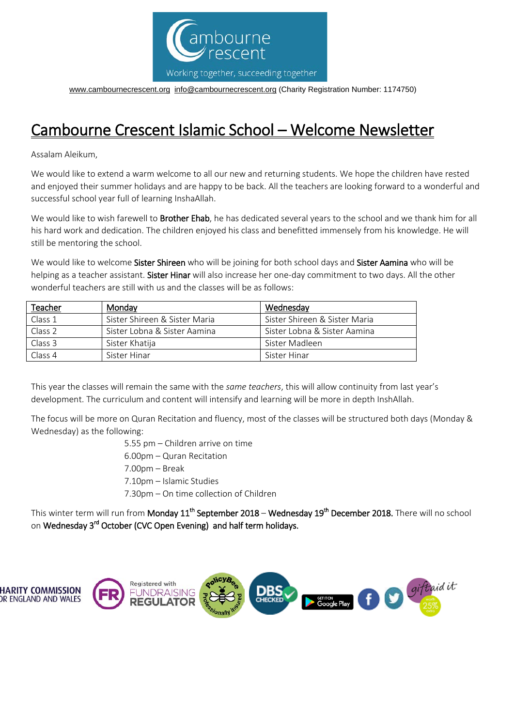

[www.cambournecrescent.org](http://www.cambournecrescent.org/) [info@cambournecrescent.org](mailto:info@cambournecrescent.org) (Charity Registration Number: 1174750)

## Cambourne Crescent Islamic School – Welcome Newsletter

Assalam Aleikum,

We would like to extend a warm welcome to all our new and returning students. We hope the children have rested and enjoyed their summer holidays and are happy to be back. All the teachers are looking forward to a wonderful and successful school year full of learning InshaAllah.

We would like to wish farewell to **Brother Ehab**, he has dedicated several years to the school and we thank him for all his hard work and dedication. The children enjoyed his class and benefitted immensely from his knowledge. He will still be mentoring the school.

We would like to welcome Sister Shireen who will be joining for both school days and Sister Aamina who will be helping as a teacher assistant. Sister Hinar will also increase her one-day commitment to two days. All the other wonderful teachers are still with us and the classes will be as follows:

| Teacher | Monday                        | Wednesday                     |
|---------|-------------------------------|-------------------------------|
| Class 1 | Sister Shireen & Sister Maria | Sister Shireen & Sister Maria |
| Class 2 | Sister Lobna & Sister Aamina  | Sister Lobna & Sister Aamina  |
| Class 3 | Sister Khatija                | Sister Madleen                |
| Class 4 | Sister Hinar                  | Sister Hinar                  |

This year the classes will remain the same with the *same teachers*, this will allow continuity from last year's development. The curriculum and content will intensify and learning will be more in depth InshAllah.

The focus will be more on Quran Recitation and fluency, most of the classes will be structured both days (Monday & Wednesday) as the following:

> 5.55 pm – Children arrive on time 6.00pm – Quran Recitation 7.00pm – Break 7.10pm – Islamic Studies 7.30pm – On time collection of Children

This winter term will run from Monday 11<sup>th</sup> September 2018 – Wednesday 19<sup>th</sup> December 2018. There will no school

on Wednesday 3<sup>rd</sup> October (CVC Open Evening) and half term holidays.

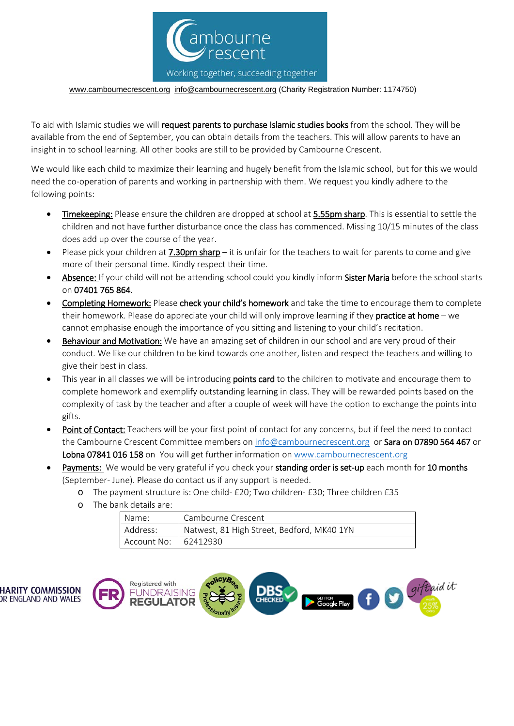

[www.cambournecrescent.org](http://www.cambournecrescent.org/) [info@cambournecrescent.org](mailto:info@cambournecrescent.org) (Charity Registration Number: 1174750)

To aid with Islamic studies we will request parents to purchase Islamic studies books from the school. They will be available from the end of September, you can obtain details from the teachers. This will allow parents to have an insight in to school learning. All other books are still to be provided by Cambourne Crescent.

We would like each child to maximize their learning and hugely benefit from the Islamic school, but for this we would need the co-operation of parents and working in partnership with them. We request you kindly adhere to the following points:

- Timekeeping: Please ensure the children are dropped at school at 5.55pm sharp. This is essential to settle the children and not have further disturbance once the class has commenced. Missing 10/15 minutes of the class does add up over the course of the year.
- Please pick your children at 7.30pm sharp it is unfair for the teachers to wait for parents to come and give more of their personal time. Kindly respect their time.
- Absence: If your child will not be attending school could you kindly inform Sister Maria before the school starts on 07401 765 864.
- Completing Homework: Please check your child's homework and take the time to encourage them to complete their homework. Please do appreciate your child will only improve learning if they **practice at home** – we cannot emphasise enough the importance of you sitting and listening to your child's recitation.
- Behaviour and Motivation: We have an amazing set of children in our school and are very proud of their conduct. We like our children to be kind towards one another, listen and respect the teachers and willing to give their best in class.
- This year in all classes we will be introducing points card to the children to motivate and encourage them to complete homework and exemplify outstanding learning in class. They will be rewarded points based on the complexity of task by the teacher and after a couple of week will have the option to exchange the points into gifts.
- Point of Contact: Teachers will be your first point of contact for any concerns, but if feel the need to contact the Cambourne Crescent Committee members on [info@cambournecrescent.org](mailto:info@cambournecrescent.org) or Sara on 07890 564 467 or Lobna 07841 016 158 on You will get further information o[n www.cambournecrescent.org](http://www.cambournecrescent.org/)
- Payments: We would be very grateful if you check your standing order is set-up each month for 10 months (September- June). Please do contact us if any support is needed.

|  | o The bank details are: |                                            |  |
|--|-------------------------|--------------------------------------------|--|
|  | Name:                   | Cambourne Crescent                         |  |
|  | Address:                | Natwest, 81 High Street, Bedford, MK40 1YN |  |
|  | Account No:   62412930  |                                            |  |

- o The payment structure is: One child- £20; Two children- £30; Three children £35
- 

**HARITY COMMISSION** 

OR ENGLAND AND WALES